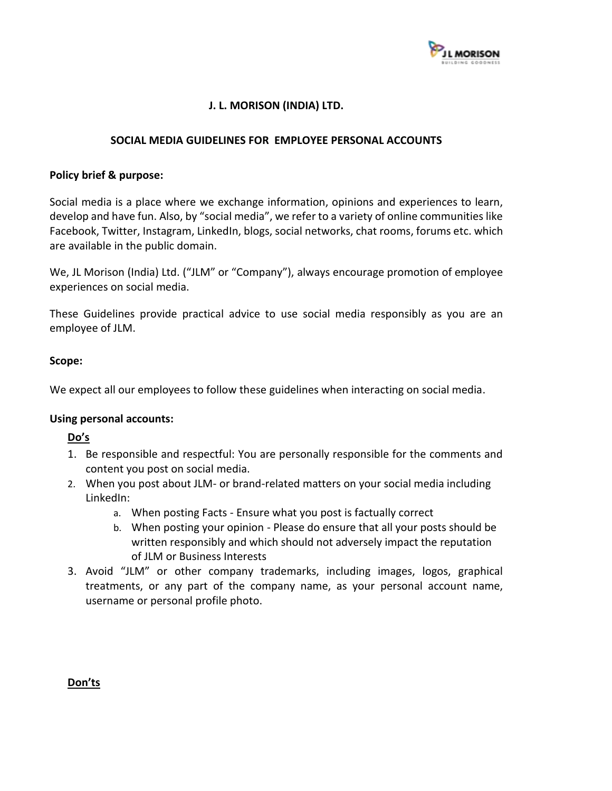

# **J. L. MORISON (INDIA) LTD.**

### **SOCIAL MEDIA GUIDELINES FOR EMPLOYEE PERSONAL ACCOUNTS**

#### **Policy brief & purpose:**

Social media is a place where we exchange information, opinions and experiences to learn, develop and have fun. Also, by "social media", we refer to a variety of online communities like Facebook, Twitter, Instagram, LinkedIn, blogs, social networks, chat rooms, forums etc. which are available in the public domain.

We, JL Morison (India) Ltd. ("JLM" or "Company"), always encourage promotion of employee experiences on social media.

These Guidelines provide practical advice to use social media responsibly as you are an employee of JLM.

### **Scope:**

We expect all our employees to follow these guidelines when interacting on social media.

#### **Using personal accounts:**

## **Do's**

- 1. Be responsible and respectful: You are personally responsible for the comments and content you post on social media.
- 2. When you post about JLM- or brand-related matters on your social media including LinkedIn:
	- a. When posting Facts Ensure what you post is factually correct
	- b. When posting your opinion Please do ensure that all your posts should be written responsibly and which should not adversely impact the reputation of JLM or Business Interests
- 3. Avoid "JLM" or other company trademarks, including images, logos, graphical treatments, or any part of the company name, as your personal account name, username or personal profile photo.

**Don'ts**